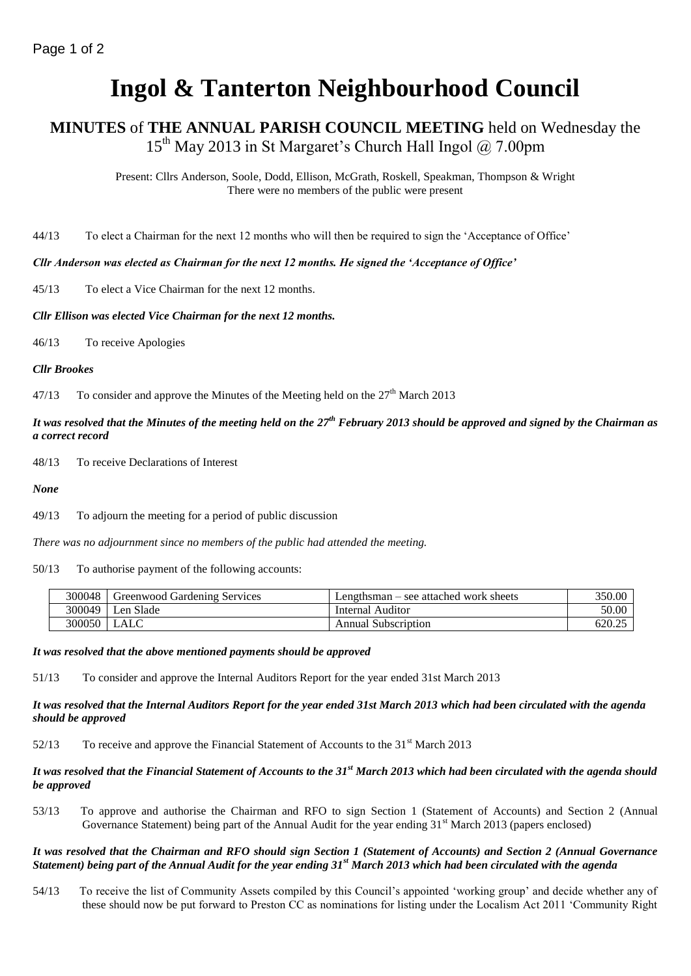# **Ingol & Tanterton Neighbourhood Council**

# **MINUTES** of **THE ANNUAL PARISH COUNCIL MEETING** held on Wednesday the  $15<sup>th</sup>$  May 2013 in St Margaret's Church Hall Ingol  $\omega$  7.00pm

Present: Cllrs Anderson, Soole, Dodd, Ellison, McGrath, Roskell, Speakman, Thompson & Wright There were no members of the public were present

44/13 To elect a Chairman for the next 12 months who will then be required to sign the 'Acceptance of Office'

#### *Cllr Anderson was elected as Chairman for the next 12 months. He signed the 'Acceptance of Office'*

45/13 To elect a Vice Chairman for the next 12 months.

#### *Cllr Ellison was elected Vice Chairman for the next 12 months.*

46/13 To receive Apologies

#### *Cllr Brookes*

47/13 To consider and approve the Minutes of the Meeting held on the  $27<sup>th</sup>$  March 2013

## *It was resolved that the Minutes of the meeting held on the 27th February 2013 should be approved and signed by the Chairman as a correct record*

48/13 To receive Declarations of Interest

*None*

49/13 To adjourn the meeting for a period of public discussion

*There was no adjournment since no members of the public had attended the meeting.*

#### 50/13 To authorise payment of the following accounts:

| 300048 | Greenwood Gardening Services | Lengthsman – see attached work sheets | 350.00 |
|--------|------------------------------|---------------------------------------|--------|
| 300049 | ∟en Slade                    | Internal Auditor                      | 50.00  |
| 300050 |                              | <b>Annual Subscription</b>            | 620.2. |

#### *It was resolved that the above mentioned payments should be approved*

51/13 To consider and approve the Internal Auditors Report for the year ended 31st March 2013

#### *It was resolved that the Internal Auditors Report for the year ended 31st March 2013 which had been circulated with the agenda should be approved*

 $52/13$  To receive and approve the Financial Statement of Accounts to the 31<sup>st</sup> March 2013

#### *It was resolved that the Financial Statement of Accounts to the 31st March 2013 which had been circulated with the agenda should be approved*

53/13 To approve and authorise the Chairman and RFO to sign Section 1 (Statement of Accounts) and Section 2 (Annual Governance Statement) being part of the Annual Audit for the year ending  $31<sup>st</sup>$  March 2013 (papers enclosed)

#### *It was resolved that the Chairman and RFO should sign Section 1 (Statement of Accounts) and Section 2 (Annual Governance Statement) being part of the Annual Audit for the year ending 31st March 2013 which had been circulated with the agenda*

54/13 To receive the list of Community Assets compiled by this Council's appointed 'working group' and decide whether any of these should now be put forward to Preston CC as nominations for listing under the Localism Act 2011 'Community Right